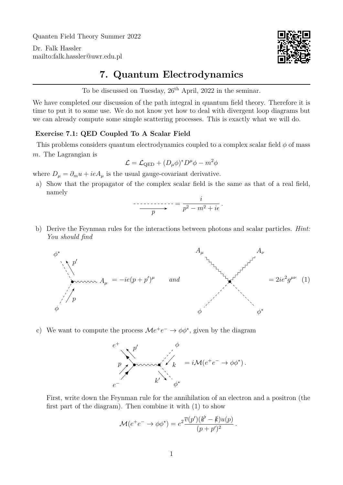Quanten Field Theory Summer 2022

Dr. Falk Hassler <mailto:falk.hassler@uwr.edu.pl>



## **7. Quantum Electrodynamics**

To be discussed on Tuesday,  $26<sup>th</sup>$  April, 2022 in the seminar.

We have completed our discussion of the path integral in quantum field theory. Therefore it is time to put it to some use. We do not know yet how to deal with divergent loop diagrams but we can already compute some simple scattering processes. This is exactly what we will do.

## **Exercise 7.1: QED Coupled To A Scalar Field**

This problems considers quantum electrodynamics coupled to a complex scalar field  $\phi$  of mass m. The Lagrangian is

$$
\mathcal{L} = \mathcal{L}_{\text{QED}} + (D_{\mu}\phi)^* D^{\mu} \phi - m^2 \phi
$$

where  $D_{\mu} = \partial_{m} u + ieA_{\mu}$  is the usual gauge-covariant derivative.

a) Show that the propagator of the complex scalar field is the same as that of a real field, namely

$$
\overbrace{\qquad \qquad p}^{i} = \frac{i}{p^2 - m^2 + i\epsilon}.
$$

b) Derive the Feynman rules for the interactions between photons and scalar particles. *Hint: You should find*

<span id="page-0-0"></span>

c) We want to compute the process  $\mathcal{M}e^+e^- \to \phi\phi^*$ , given by the diagram



First, write down the Feynman rule for the annihilation of an electron and a positron (the first part of the diagram). Then combine it with [\(1\)](#page-0-0) to show

$$
\mathcal{M}(e^+e^- \to \phi \phi^*) = e^2 \frac{\overline{v}(p')(k'-k)u(p)}{(p+p')^2}
$$

.